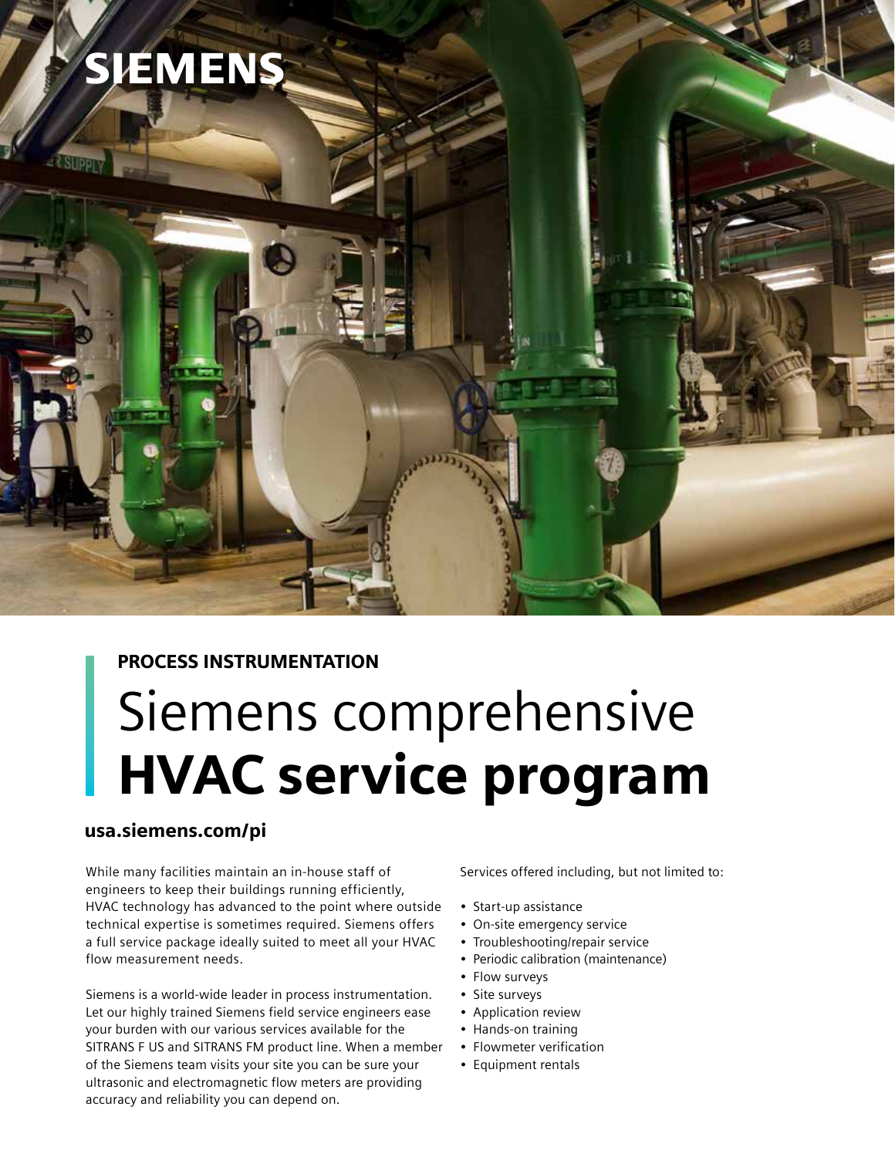

## PROCESS INSTRUMENTATION

# Siemens comprehensive HVAC service program

## usa.siemens.com/pi

While many facilities maintain an in-house staff of engineers to keep their buildings running efficiently, HVAC technology has advanced to the point where outside technical expertise is sometimes required. Siemens offers a full service package ideally suited to meet all your HVAC flow measurement needs.

Siemens is a world-wide leader in process instrumentation. Let our highly trained Siemens field service engineers ease your burden with our various services available for the SITRANS F US and SITRANS FM product line. When a member of the Siemens team visits your site you can be sure your ultrasonic and electromagnetic flow meters are providing accuracy and reliability you can depend on.

Services offered including, but not limited to:

- Start-up assistance
- On-site emergency service
- Troubleshooting/repair service
- Periodic calibration (maintenance)
- Flow surveys
- Site surveys
- Application review
- Hands-on training
- Flowmeter verification
- Equipment rentals